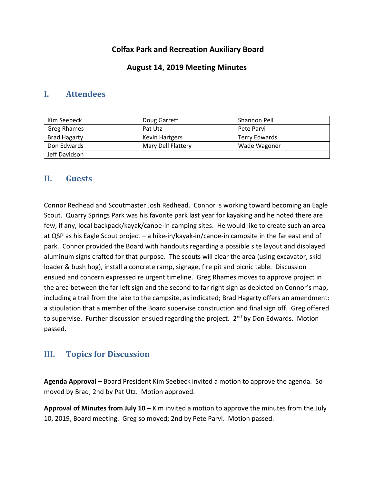# **Colfax Park and Recreation Auxiliary Board**

## **August 14, 2019 Meeting Minutes**

### **I. Attendees**

| Kim Seebeck         | Doug Garrett          | Shannon Pell         |
|---------------------|-----------------------|----------------------|
| Greg Rhames         | Pat Utz               | Pete Parvi           |
| <b>Brad Hagarty</b> | <b>Kevin Hartgers</b> | <b>Terry Edwards</b> |
| Don Edwards         | Mary Dell Flattery    | Wade Wagoner         |
| Jeff Davidson       |                       |                      |

### **II. Guests**

Connor Redhead and Scoutmaster Josh Redhead. Connor is working toward becoming an Eagle Scout. Quarry Springs Park was his favorite park last year for kayaking and he noted there are few, if any, local backpack/kayak/canoe-in camping sites. He would like to create such an area at QSP as his Eagle Scout project – a hike-in/kayak-in/canoe-in campsite in the far east end of park. Connor provided the Board with handouts regarding a possible site layout and displayed aluminum signs crafted for that purpose. The scouts will clear the area (using excavator, skid loader & bush hog), install a concrete ramp, signage, fire pit and picnic table. Discussion ensued and concern expressed re urgent timeline. Greg Rhames moves to approve project in the area between the far left sign and the second to far right sign as depicted on Connor's map, including a trail from the lake to the campsite, as indicated; Brad Hagarty offers an amendment: a stipulation that a member of the Board supervise construction and final sign off. Greg offered to supervise. Further discussion ensued regarding the project. 2<sup>nd</sup> by Don Edwards. Motion passed.

# **III. Topics for Discussion**

**Agenda Approval –** Board President Kim Seebeck invited a motion to approve the agenda. So moved by Brad; 2nd by Pat Utz. Motion approved.

**Approval of Minutes from July 10 –** Kim invited a motion to approve the minutes from the July 10, 2019, Board meeting. Greg so moved; 2nd by Pete Parvi. Motion passed.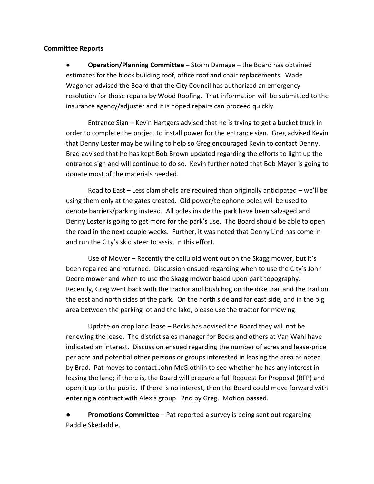#### **Committee Reports**

● **Operation/Planning Committee –** Storm Damage – the Board has obtained estimates for the block building roof, office roof and chair replacements. Wade Wagoner advised the Board that the City Council has authorized an emergency resolution for those repairs by Wood Roofing. That information will be submitted to the insurance agency/adjuster and it is hoped repairs can proceed quickly.

Entrance Sign – Kevin Hartgers advised that he is trying to get a bucket truck in order to complete the project to install power for the entrance sign. Greg advised Kevin that Denny Lester may be willing to help so Greg encouraged Kevin to contact Denny. Brad advised that he has kept Bob Brown updated regarding the efforts to light up the entrance sign and will continue to do so. Kevin further noted that Bob Mayer is going to donate most of the materials needed.

Road to East – Less clam shells are required than originally anticipated – we'll be using them only at the gates created. Old power/telephone poles will be used to denote barriers/parking instead. All poles inside the park have been salvaged and Denny Lester is going to get more for the park's use. The Board should be able to open the road in the next couple weeks. Further, it was noted that Denny Lind has come in and run the City's skid steer to assist in this effort.

Use of Mower – Recently the celluloid went out on the Skagg mower, but it's been repaired and returned. Discussion ensued regarding when to use the City's John Deere mower and when to use the Skagg mower based upon park topography. Recently, Greg went back with the tractor and bush hog on the dike trail and the trail on the east and north sides of the park. On the north side and far east side, and in the big area between the parking lot and the lake, please use the tractor for mowing.

Update on crop land lease – Becks has advised the Board they will not be renewing the lease. The district sales manager for Becks and others at Van Wahl have indicated an interest. Discussion ensued regarding the number of acres and lease-price per acre and potential other persons or groups interested in leasing the area as noted by Brad. Pat moves to contact John McGlothlin to see whether he has any interest in leasing the land; if there is, the Board will prepare a full Request for Proposal (RFP) and open it up to the public. If there is no interest, then the Board could move forward with entering a contract with Alex's group. 2nd by Greg. Motion passed.

**Promotions Committee** – Pat reported a survey is being sent out regarding Paddle Skedaddle.